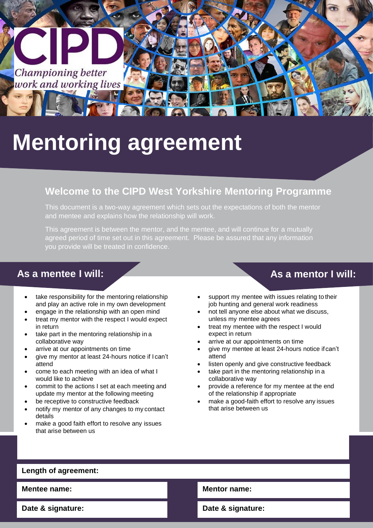

# **Mentoring agreement**

## **Welcome to the CIPD West Yorkshire Mentoring Programme**

This document is a two-way agreement which sets out the expectations of both the mentor and mentee and explains how the relationship will work.

This agreement is between the mentor, and the mentee, and will continue for a mutually agreed period of time set out in this agreement. Please be assured that any information you provide will be treated in confidence.

### **As a mentee I will: As a mentor I will:**

- take responsibility for the mentoring relationship and play an active role in my own development
- engage in the relationship with an open mind
- treat my mentor with the respect I would expect in return
- take part in the mentoring relationship in a collaborative way
- arrive at our appointments on time
- give my mentor at least 24-hours notice if I can't attend
- come to each meeting with an idea of what I would like to achieve
- commit to the actions I set at each meeting and update my mentor at the following meeting
- be receptive to constructive feedback
- notify my mentor of any changes to my contact details
- make a good faith effort to resolve any issues that arise between us

- support my mentee with issues relating to their job hunting and general work readiness
- not tell anyone else about what we discuss, unless my mentee agrees
- treat my mentee with the respect I would expect in return
- arrive at our appointments on time
- give my mentee at least 24-hours notice if can't attend
- listen openly and give constructive feedback
- take part in the mentoring relationship in a collaborative way
- provide a reference for my mentee at the end of the relationship if appropriate
- make a good-faith effort to resolve any issues that arise between us

### **Length of agreement:**

**Mentee name: Mentor name:**

**Date & signature: Date & signature:**